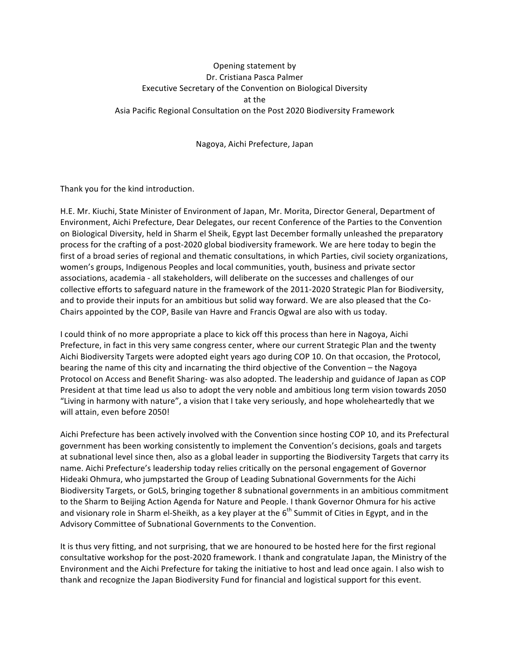## Opening statement by Dr. Cristiana Pasca Palmer Executive Secretary of the Convention on Biological Diversity at the Asia Pacific Regional Consultation on the Post 2020 Biodiversity Framework

## Nagoya, Aichi Prefecture, Japan

Thank you for the kind introduction.

H.E. Mr. Kiuchi, State Minister of Environment of Japan, Mr. Morita, Director General, Department of Environment, Aichi Prefecture, Dear Delegates, our recent Conference of the Parties to the Convention on Biological Diversity, held in Sharm el Sheik, Egypt last December formally unleashed the preparatory process for the crafting of a post-2020 global biodiversity framework. We are here today to begin the first of a broad series of regional and thematic consultations, in which Parties, civil society organizations, women's groups, Indigenous Peoples and local communities, youth, business and private sector associations, academia - all stakeholders, will deliberate on the successes and challenges of our collective efforts to safeguard nature in the framework of the 2011-2020 Strategic Plan for Biodiversity, and to provide their inputs for an ambitious but solid way forward. We are also pleased that the Co-Chairs appointed by the COP, Basile van Havre and Francis Ogwal are also with us today.

I could think of no more appropriate a place to kick off this process than here in Nagoya, Aichi Prefecture, in fact in this very same congress center, where our current Strategic Plan and the twenty Aichi Biodiversity Targets were adopted eight years ago during COP 10. On that occasion, the Protocol, bearing the name of this city and incarnating the third objective of the Convention – the Nagoya Protocol on Access and Benefit Sharing- was also adopted. The leadership and guidance of Japan as COP President at that time lead us also to adopt the very noble and ambitious long term vision towards 2050 "Living in harmony with nature", a vision that I take very seriously, and hope wholeheartedly that we will attain, even before 2050!

Aichi Prefecture has been actively involved with the Convention since hosting COP 10, and its Prefectural government has been working consistently to implement the Convention's decisions, goals and targets at subnational level since then, also as a global leader in supporting the Biodiversity Targets that carry its name. Aichi Prefecture's leadership today relies critically on the personal engagement of Governor Hideaki Ohmura, who jumpstarted the Group of Leading Subnational Governments for the Aichi Biodiversity Targets, or GoLS, bringing together 8 subnational governments in an ambitious commitment to the Sharm to Beijing Action Agenda for Nature and People. I thank Governor Ohmura for his active and visionary role in Sharm el-Sheikh, as a key player at the  $6<sup>th</sup>$  Summit of Cities in Egypt, and in the Advisory Committee of Subnational Governments to the Convention.

It is thus very fitting, and not surprising, that we are honoured to be hosted here for the first regional consultative workshop for the post-2020 framework. I thank and congratulate Japan, the Ministry of the Environment and the Aichi Prefecture for taking the initiative to host and lead once again. I also wish to thank and recognize the Japan Biodiversity Fund for financial and logistical support for this event.